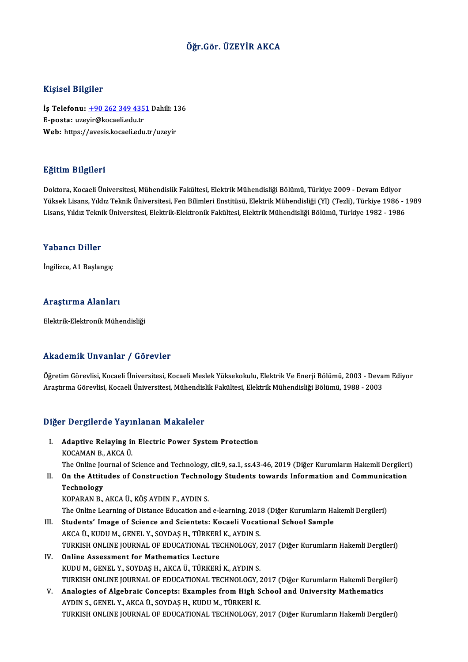# Öğr.Gör. ÜZEYİR AKCA

## Kişisel Bilgiler

Kişisel Bilgiler<br>İş Telefonu: <u>+90 262 349 4351</u> Dahili: 136<br>E nasta: wzavir@kasali.adu.tr 11191001 D1191101<br>İş Telefonu: <u>+90 262 349 435</u><br>E-posta: uze[yir@kocaeli.edu.tr](tel:+90 262 349 4351) İş Telefonu: <u>+90 262 349 4351</u> Dahili: 1<br>E-posta: uzeyir@kocaeli.edu.tr<br>Web: https://avesis.kocaeli.edu.tr/uzeyir Web: https://avesis.kocaeli.edu.tr/uzeyir<br>Eğitim Bilgileri

Doktora, Kocaeli Üniversitesi, Mühendislik Fakültesi, Elektrik Mühendisliği Bölümü, Türkiye 2009 - Devam Ediyor 25.<br>1998-Yüksek Lisans, Yıldız Teknik Üniversitesi, Fakültesi, Elektrik Mühendisliği Bölümü, Türkiye 2009 - Devam Ediyor<br>Yüksek Lisans, Yıldız Teknik Üniversitesi, Fen Bilimleri Enstitüsü, Elektrik Mühendisliği (Yl) (Tezli Doktora, Kocaeli Üniversitesi, Mühendislik Fakültesi, Elektrik Mühendisliği Bölümü, Türkiye 2009 - Devam Ediyor<br>Yüksek Lisans, Yıldız Teknik Üniversitesi, Fen Bilimleri Enstitüsü, Elektrik Mühendisliği (Yl) (Tezli), Türkiy Lisans, Yıldız Teknik Üniversitesi, Elektrik-Elektronik Fakültesi, Elektrik Mühendisliği Bölümü, Türkiye 1982 - 1986<br>Yabancı Diller

İngilizce,A1Başlangıç

## Araştırma Alanları

Elektrik-Elektronik Mühendisliği

## Akademik Unvanlar / Görevler

Akademik Unvanlar / Görevler<br>Öğretim Görevlisi, Kocaeli Üniversitesi, Kocaeli Meslek Yüksekokulu, Elektrik Ve Enerji Bölümü, 2003 - Devam Ediyor<br>Arastırma Cörevlisi, Kosaeli Üniversitesi, Mühandislik Fekültesi, Elektrik Mü Arastıcın Mürkima (ö. 1981 oldu.<br>Öğretim Görevlisi, Kocaeli Üniversitesi, Kocaeli Meslek Yüksekokulu, Elektrik Ve Enerji Bölümü, 2003 - Deva<br>Araştırma Görevlisi, Kocaeli Üniversitesi, Mühendislik Fakültesi, Elektrik Mühend Araştırma Görevlisi, Kocaeli Üniversitesi, Mühendislik Fakültesi, Elektrik Mühendisliği Bölümü, 1988 - 2003<br>Diğer Dergilerde Yayınlanan Makaleler

- Iger Dergilerde Yayınlanan Makaleler<br>I. Adaptive Relaying in Electric Power System Protection Adaptive Relaying in<br>Adaptive Relaying in<br>KOCAMAN B., AKCA Ü. Adaptive Relaying in Electric Power System Protection<br>KOCAMAN B., AKCA Ü.<br>The Online Journal of Science and Technology, cilt.9, sa.1, ss.43-46, 2019 (Diğer Kurumların Hakemli Dergileri)<br>On the Attitudes of Construction Tec KOCAMAN B., AKCA Ü.<br>The Online Journal of Science and Technology, cilt.9, sa.1, ss.43-46, 2019 (Diğer Kurumların Hakemli Dergileri<br>II. On the Attitudes of Construction Technology Students towards Information and Commun
- The Online Jo<br>On the Attitu<br>Technology<br>KOPARAN P On the Attitudes of Construction Technol<br>Technology<br>KOPARAN B., AKCA Ü., KÖŞ AYDIN F., AYDIN S.<br>The Online Learning of Distance Education and Technology<br>KOPARAN B., AKCA Ü., KÖŞ AYDIN F., AYDIN S.<br>The Online Learning of Distance Education and e-learning, 2018 (Diğer Kurumların Hakemli Dergileri)<br>Students' Image of Ssiense and Ssientsts: Kesaali Vesational Ssheel

- KOPARAN B., AKCA Ü., KÖŞ AYDIN F., AYDIN S.<br>The Online Learning of Distance Education and e-learning, 2018 (Diğer Kurumların Ha<br>III. Students' Image of Science and Scientets: Kocaeli Vocational School Sample<br>AKCA Ü. KUDU M The Online Learning of Distance Education and e-learning, 2013<br>Students' Image of Science and Scientets: Kocaeli Vocat<br>AKCA Ü., KUDU M., GENEL Y., SOYDAŞ H., TÜRKERİ K., AYDIN S.<br>TURKEN ONLINE IOURNAL OF EDUCATIONAL TECHNO Students' Image of Science and Scientets: Kocaeli Vocational School Sample<br>AKCA Ü., KUDU M., GENEL Y., SOYDAŞ H., TÜRKERİ K., AYDIN S.<br>TURKISH ONLINE JOURNAL OF EDUCATIONAL TECHNOLOGY, 2017 (Diğer Kurumların Hakemli Dergil AKCA Ü., KUDU M., GENEL Y., SOYDAŞ H., TÜRKERİ<br>TURKISH ONLINE JOURNAL OF EDUCATIONAL TE<br>IV. Online Assessment for Mathematics Lecture
- TURKISH ONLINE JOURNAL OF EDUCATIONAL TECHNOLOGY, 2<br>Online Assessment for Mathematics Lecture<br>KUDU M., GENEL Y., SOYDAŞ H., AKCA Ü., TÜRKERİ K., AYDIN S.<br>TURKISH ONLINE IOURNAL OF EDUCATIONAL TECHNOLOGY 2 Online Assessment for Mathematics Lecture<br>KUDU M., GENEL Y., SOYDAŞ H., AKCA Ü., TÜRKERİ K., AYDIN S.<br>TURKISH ONLINE JOURNAL OF EDUCATIONAL TECHNOLOGY, 2017 (Diğer Kurumların Hakemli Dergileri)<br>Analagias of Algebrais Conse KUDU M., GENEL Y., SOYDAŞ H., AKCA Ü., TÜRKERİ K., AYDIN S.<br>TURKISH ONLINE JOURNAL OF EDUCATIONAL TECHNOLOGY, 2017 (Diğer Kurumların Hakemli Dergi<br>V. Analogies of Algebraic Concepts: Examples from High School and Universit
- TURKISH ONLINE JOURNAL OF EDUCATIONAL TECHNOLOGY, 2<br>Analogies of Algebraic Concepts: Examples from High S<br>AYDIN S., GENEL Y., AKCA Ü., SOYDAŞ H., KUDU M., TÜRKERİ K.<br>TURKEH ONLINE JOURNAL OF EDUCATIONAL TECHNOLOGY 2 V. Analogies of Algebraic Concepts: Examples from High School and University Mathematics<br>AYDIN S., GENEL Y., AKCA Ü., SOYDAŞ H., KUDU M., TÜRKERİ K.<br>TURKISH ONLINE JOURNAL OF EDUCATIONAL TECHNOLOGY, 2017 (Diğer Kurumların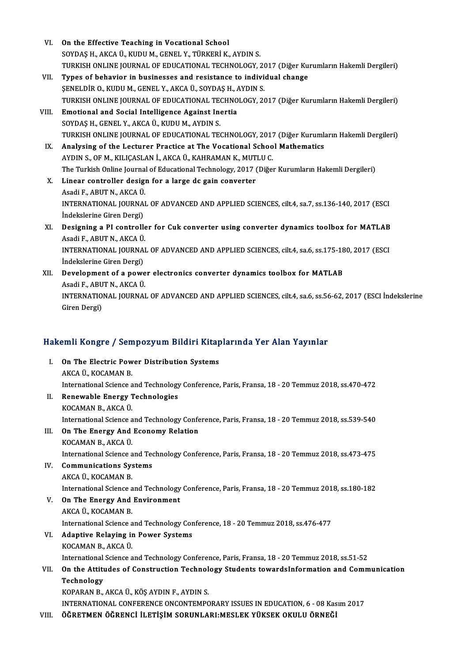| VI.    | On the Effective Teaching in Vocational School                                                          |
|--------|---------------------------------------------------------------------------------------------------------|
|        | SOYDAŞ H., AKCA Ü., KUDU M., GENEL Y., TÜRKERİ K., AYDIN S.                                             |
|        | TURKISH ONLINE JOURNAL OF EDUCATIONAL TECHNOLOGY, 2017 (Diğer Kurumların Hakemli Dergileri)             |
| VII.   | Types of behavior in businesses and resistance to individual change                                     |
|        | ŞENELDİR O., KUDU M., GENEL Y., AKCA Ü., SOYDAŞ H., AYDIN S.                                            |
|        | TURKISH ONLINE JOURNAL OF EDUCATIONAL TECHNOLOGY, 2017 (Diğer Kurumların Hakemli Dergileri)             |
| VIII - | Emotional and Social Intelligence Against Inertia                                                       |
|        | SOYDAŞ H., GENEL Y., AKCA Ü., KUDU M., AYDIN S.                                                         |
|        | TURKISH ONLINE JOURNAL OF EDUCATIONAL TECHNOLOGY, 2017 (Diğer Kurumların Hakemli Dergileri)             |
| IX.    | Analysing of the Lecturer Practice at The Vocational School Mathematics                                 |
|        | AYDIN S., OF M., KILIÇASLAN İ., AKCA Ü., KAHRAMAN K., MUTLU C.                                          |
|        | The Turkish Online Journal of Educational Technology, 2017 (Diğer Kurumların Hakemli Dergileri)         |
| X.     | Linear controller design for a large dc gain converter                                                  |
|        | Asadi F., ABUT N., AKCA Ü.                                                                              |
|        | INTERNATIONAL JOURNAL OF ADVANCED AND APPLIED SCIENCES, cit.4, sa.7, ss.136-140, 2017 (ESCI             |
|        | İndekslerine Giren Dergi)                                                                               |
| XI.    | Designing a PI controller for Cuk converter using converter dynamics toolbox for MATLAB                 |
|        | Asadi F, ABUT N, AKCA Ü.                                                                                |
|        | INTERNATIONAL JOURNAL OF ADVANCED AND APPLIED SCIENCES, cit.4, sa.6, ss.175-180, 2017 (ESCI             |
|        | İndekslerine Giren Dergi)                                                                               |
| XII.   | Development of a power electronics converter dynamics toolbox for MATLAB                                |
|        | Asadi F., ABUT N., AKCA Ü.                                                                              |
|        | INTERNATIONAL JOURNAL OF ADVANCED AND APPLIED SCIENCES, cilt.4, sa.6, ss.56-62, 2017 (ESCI İndekslerine |
|        | Giren Dergi)                                                                                            |
|        |                                                                                                         |

# uren bergi)<br>Hakemli Kongre / Sempozyum Bildiri Kitaplarında Yer Alan Yayınlar

| Hakemli Kongre / Sempozyum Bildiri Kitaplarında Yer Alan Yayınlar |                                                                                                 |
|-------------------------------------------------------------------|-------------------------------------------------------------------------------------------------|
| L                                                                 | On The Electric Power Distribution Systems                                                      |
|                                                                   | AKCA Ü., KOCAMAN B                                                                              |
|                                                                   | International Science and Technology Conference, Paris, Fransa, 18 - 20 Temmuz 2018, ss.470-472 |
| II.                                                               | Renewable Energy Technologies                                                                   |
|                                                                   | KOCAMAN B., AKCA Ü.                                                                             |
|                                                                   | International Science and Technology Conference, Paris, Fransa, 18 - 20 Temmuz 2018, ss.539-540 |
| III.                                                              | On The Energy And Economy Relation                                                              |
|                                                                   | KOCAMAN B., AKCA Ü.                                                                             |
|                                                                   | International Science and Technology Conference, Paris, Fransa, 18 - 20 Temmuz 2018, ss.473-475 |
| IV.                                                               | <b>Communications Systems</b>                                                                   |
|                                                                   | AKCA Ü, KOCAMAN B                                                                               |
|                                                                   | International Science and Technology Conference, Paris, Fransa, 18 - 20 Temmuz 2018, ss.180-182 |
| V.                                                                | On The Energy And Environment                                                                   |
|                                                                   | AKCA Ü, KOCAMAN B                                                                               |
|                                                                   | International Science and Technology Conference, 18 - 20 Temmuz 2018, ss.476-477                |
| VI.                                                               | <b>Adaptive Relaying in Power Systems</b>                                                       |
|                                                                   | KOCAMAN B, AKCA Ü                                                                               |
|                                                                   | International Science and Technology Conference, Paris, Fransa, 18 - 20 Temmuz 2018, ss.51-52   |
| VII.                                                              | On the Attitudes of Construction Technology Students towardsInformation and Communication       |
|                                                                   | Technology                                                                                      |
|                                                                   | KOPARAN B., AKCA Ü., KÖŞ AYDIN F., AYDIN S.                                                     |
|                                                                   | INTERNATIONAL CONFERENCE ONCONTEMPORARY ISSUES IN EDUCATION, 6 - 08 Kasım 2017                  |
| VIII.                                                             | ÖĞRETMEN ÖĞRENCİ İLETİŞİM SORUNLARI:MESLEK YÜKSEK OKULU ÖRNEĞİ                                  |
|                                                                   |                                                                                                 |